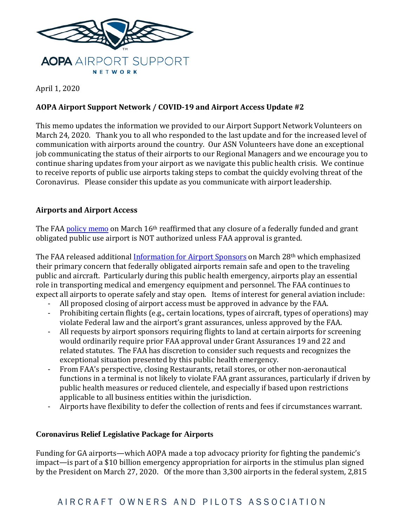

April 1, 2020

# **AOPA Airport Support Network / COVID-19 and Airport Access Update #2**

This memo updates the information we provided to our Airport Support Network Volunteers on March 24, 2020. Thank you to all who responded to the last update and for the increased level of communication with airports around the country. Our ASN Volunteers have done an exceptional job communicating the status of their airports to our Regional Managers and we encourage you to continue sharing updates from your airport as we navigate this public health crisis. We continue to receive reports of public use airports taking steps to combat the quickly evolving threat of the Coronavirus. Please consider this update as you communicate with airport leadership.

## **Airports and Airport Access**

The FAA [policy memo](https://www.faa.gov/airports/airport_compliance/media/CGL-2020-01-Temporarily-Close-Restrict-Non-Aeronautical-Purposes.pdf) on March 16<sup>th</sup> reaffirmed that any closure of a federally funded and grant obligated public use airport is NOT authorized unless FAA approval is granted.

The FAA released additional [Information for Airport Sponsors](https://www.faa.gov/airports/airport_compliance/media/Information-for-Airport-Sponsors-COVID-19-20200328.pdf) on March 28th which emphasized their primary concern that federally obligated airports remain safe and open to the traveling public and aircraft. Particularly during this public health emergency, airports play an essential role in transporting medical and emergency equipment and personnel. The FAA continues to expect all airports to operate safely and stay open. Items of interest for general aviation include:

- All proposed closing of airport access must be approved in advance by the FAA.
- Prohibiting certain flights (e.g., certain locations, types of aircraft, types of operations) may violate Federal law and the airport's grant assurances, unless approved by the FAA.
- All requests by airport sponsors requiring flights to land at certain airports for screening would ordinarily require prior FAA approval under Grant Assurances 19 and 22 and related statutes. The FAA has discretion to consider such requests and recognizes the exceptional situation presented by this public health emergency.
- From FAA's perspective, closing Restaurants, retail stores, or other non-aeronautical functions in a terminal is not likely to violate FAA grant assurances, particularly if driven by public health measures or reduced clientele, and especially if based upon restrictions applicable to all business entities within the jurisdiction.
- Airports have flexibility to defer the collection of rents and fees if circumstances warrant.

### **Coronavirus Relief Legislative Package for Airports**

Funding for GA airports—which AOPA made a top advocacy priority for fighting the pandemic's impact—is part of a \$10 billion emergency appropriation for airports in the stimulus plan signed by the President on March 27, 2020. Of the more than 3,300 airports in the federal system, 2,815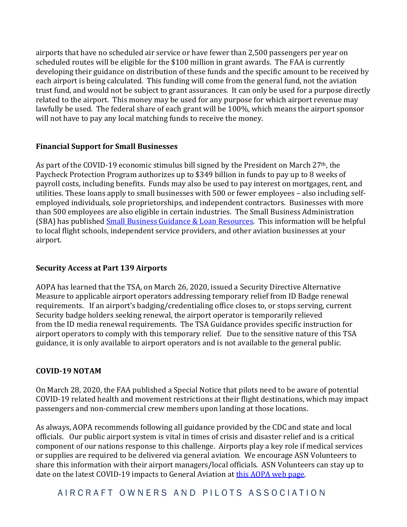airports that have no scheduled air service or have fewer than 2,500 passengers per year on scheduled routes will be eligible for the \$100 million in grant awards. The FAA is currently developing their guidance on distribution of these funds and the specific amount to be received by each airport is being calculated. This funding will come from the general fund, not the aviation trust fund, and would not be subject to grant assurances. It can only be used for a purpose directly related to the airport. This money may be used for any purpose for which airport revenue may lawfully be used. The federal share of each grant will be 100%, which means the airport sponsor will not have to pay any local matching funds to receive the money.

### **Financial Support for Small Businesses**

As part of the COVID-19 economic stimulus bill signed by the President on March 27<sup>th</sup>, the Paycheck Protection Program authorizes up to \$349 billion in funds to pay up to 8 weeks of payroll costs, including benefits. Funds may also be used to pay interest on mortgages, rent, and utilities. These loans apply to small businesses with 500 or fewer employees – also including selfemployed individuals, sole proprietorships, and independent contractors. Businesses with more than 500 employees are also eligible in certain industries. The Small Business Administration (SBA) has published [Small Business Guidance & Loan Resources.](https://www.sba.gov/page/coronavirus-covid-19-small-business-guidance-loan-resources) This information will be helpful to local flight schools, independent service providers, and other aviation businesses at your airport.

### **Security Access at Part 139 Airports**

AOPA has learned that the TSA, on March 26, 2020, issued a Security Directive Alternative Measure to applicable airport operators addressing temporary relief from ID Badge renewal requirements. If an airport's badging/credentialing office closes to, or stops serving, current Security badge holders seeking renewal, the airport operator is temporarily relieved from the ID media renewal requirements. The TSA Guidance provides specific instruction for airport operators to comply with this temporary relief. Due to the sensitive nature of this TSA guidance, it is only available to airport operators and is not available to the general public.

#### **COVID-19 NOTAM**

On March 28, 2020, the FAA published a Special Notice that pilots need to be aware of potential COVID-19 related health and movement restrictions at their flight destinations, which may impact passengers and non-commercial crew members upon landing at those locations.

As always, AOPA recommends following all guidance provided by the CDC and state and local officials. Our public airport system is vital in times of crisis and disaster relief and is a critical component of our nations response to this challenge. Airports play a key role if medical services or supplies are required to be delivered via general aviation. We encourage ASN Volunteers to share this information with their airport managers/local officials. ASN Volunteers can stay up to date on the latest COVID-19 impacts to General Aviation at [this AOPA web page.](https://www.aopa.org/news-and-media/all-news/2020/march/16/latest-news-coronavirus-impact-on-ga)

A I R C R A F T O W N E R S A N D PILOTS ASSOCIATION